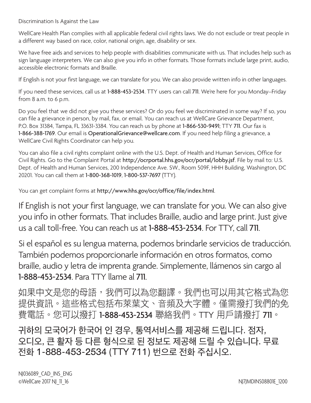Discrimination Is Against the Law

WellCare Health Plan complies with all applicable federal civil rights laws. We do not exclude or treat people in a different way based on race, color, national origin, age, disability or sex.

We have free aids and services to help people with disabilities communicate with us. That includes help such as sign language interpreters. We can also give you info in other formats. Those formats include large print, audio, accessible electronic formats and Braille.

If English is not your first language, we can translate for you. We can also provide written info in other languages.

If you need these services, call us at 1-888-453-2534. TTY users can call 711. We're here for you Monday–Friday from 8 a.m. to 6 p.m.

Do you feel that we did not give you these services? Or do you feel we discriminated in some way? If so, you can file a grievance in person, by mail, fax, or email. You can reach us at WellCare Grievance Department, P.O. Box 31384, Tampa, FL 33631-3384. You can reach us by phone at 1-866-530-9491; TTY 711. Our fax is 1-866-388-1769. Our email is OperationalGrievance@wellcare.com. If you need help filing a grievance, a WellCare Civil Rights Coordinator can help you.

You can also file a civil rights complaint online with the U.S. Dept. of Health and Human Services, Office for Civil Rights. Go to the Complaint Portal at http://ocrportal.hhs.gov/ocr/portal/lobby.jsf. File by mail to: U.S. Dept. of Health and Human Services, 200 Independence Ave. SW., Room 509F, HHH Building, Washington, DC 20201. You can call them at 1-800-368-1019, 1-800-537-7697 (TTY).

You can get complaint forms at http://www.hhs.gov/ocr/office/file/index.html.

If English is not your first language, we can translate for you. We can also give you info in other formats. That includes Braille, audio and large print. Just give us a call toll-free. You can reach us at 1-888-453-2534. For TTY, call 711.

Si el español es su lengua materna, podemos brindarle servicios de traducción. También podemos proporcionarle información en otros formatos, como braille, audio y letra de imprenta grande. Simplemente, llámenos sin cargo al 1-888-453-2534. Para TTY llame al 711.

如果中文是您的母語,我們可以為您翻譯。我們也可以用其它格式為您 提供資訊。這些格式包括布萊葉文、音頻及大字體。僅需撥打我們的免 費電話。您可以撥打 1-888-453-2534 聯絡我們。TTY 用戶請撥打 711。

귀하의 모국어가 한국어 인 경우, 통역서비스를 제공해 드립니다. 점자, 오디오, 큰 활자 등 다른 형식으로 된 정보도 제공해 드릴 수 있습니다. 무료 전화 1-888-453-2534 (TTY 711) 번으로 전화 주십시오.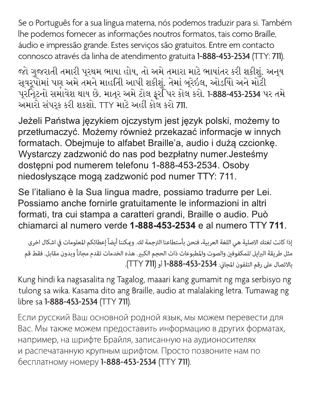Se o Português for a sua língua materna, nós podemos traduzir para si. Também lhe podemos fornecer as informações noutros formatos, tais como Braille, áudio e impressão grande. Estes serviços são gratuitos. Entre em contacto connosco através da linha de atendimento gratuita 1-888-453-2534 (TTY: 711).

જો ગુજરાતી તમારી પુરથમ ભાષા હોય, તો અમે તમારા માટે ભાષાંતર કરી શકીશું. અનુય સુવર્Σપોમાં પણ અમે તમને માહતીિ આપી શકીશું. તેમાં બુરેઇલ, ઓડયોિ અને મોટી પૂરણિટનો સમાવેશ થાય છે. માતૂર અમે ટોલ ફૂરપિિર કોલ કરો. 1-888-453-2534 પર તમે અમારો સંપર્ક કરી શકશો. TTY માટે અહીં કોલ કરો 711.

Jeżeli Państwa językiem ojczystym jest język polski, możemy to przetłumaczyć. Możemy również przekazać informacje w innych formatach. Obejmuje to alfabet Braille'a, audio i dużą czcionkę. Wystarczy zadzwonić do nas pod bezpłatny numer. Jesteśmy dostępni pod numerem telefonu 1-888-453-2534. Osoby niedosłyszące mogą zadzwonić pod numer TTY: 711.

Se l'italiano è la Sua lingua madre, possiamo tradurre per Lei. Possiamo anche fornirle gratuitamente le informazioni in altri formati, tra cui stampa a caratteri grandi, Braille o audio. Può chiamarci al numero verde 1-888-453-2534 e al numero TTY 711.

إذا كانت لغتك الاصلية هي اللغة العربية، فنحن بأستطاعنا الترجمة لك. وعكننا أيضاً إعطائكم المعلومات في اشكال اخرى مثل طريقة البرايل للمكفوفين والصوت والمطبوعات ذات الحجم الكبير. هذه الخدمات تقدم مجاناً وبدون مقابل. فقط قم بالاتصال على رقم التلفون المجاني: 1-888-453-888 أو (TTY 711).

Kung hindi ka nagsasalita ng Tagalog, maaari kang gumamit ng mga serbisyo ng tulong sa wika. Kasama dito ang Braille, audio at malalaking letra. Tumawag ng libre sa 1-888-453-2534 (TTY 711).

Если русский Ваш основной родной язык, мы можем перевести для Вас. Мы также можем предоставить информацию в других форматах, например, на шрифте Брайля, записанную на аудионосителях и распечатанную крупным шрифтом. Просто позвоните нам по бесплатному номеру 1-888-453-2534 (ТТҮ 711).